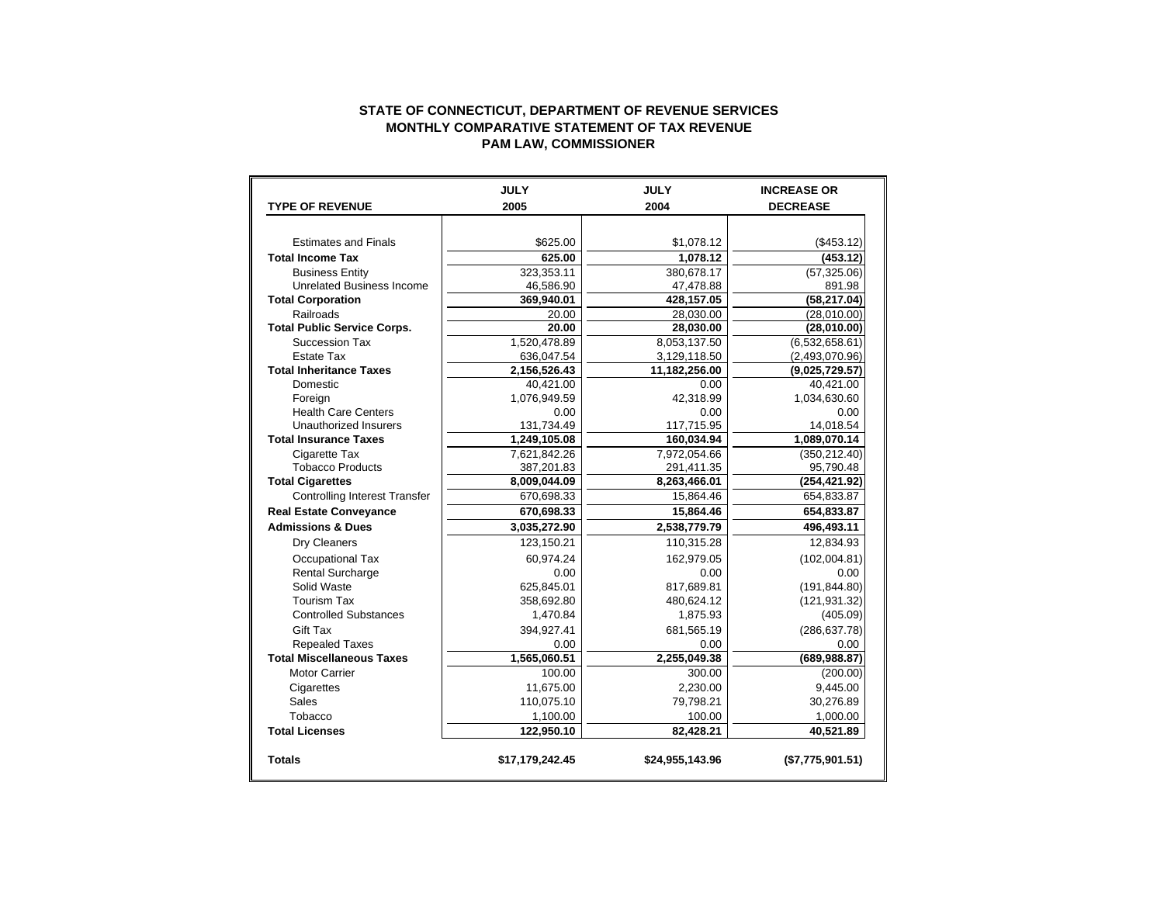## **STATE OF CONNECTICUT, DEPARTMENT OF REVENUE SERVICES MONTHLY COMPARATIVE STATEMENT OF TAX REVENUE PAM LAW, COMMISSIONER**

|                                      | <b>JULY</b>     | <b>JULY</b>     | <b>INCREASE OR</b> |
|--------------------------------------|-----------------|-----------------|--------------------|
| <b>TYPE OF REVENUE</b>               | 2005            | 2004            | <b>DECREASE</b>    |
|                                      |                 |                 |                    |
| <b>Estimates and Finals</b>          | \$625.00        | \$1,078.12      | (\$453.12)         |
| <b>Total Income Tax</b>              | 625.00          | 1,078.12        | (453.12)           |
| <b>Business Entity</b>               | 323,353.11      | 380,678.17      | (57, 325.06)       |
| <b>Unrelated Business Income</b>     | 46,586.90       | 47,478.88       | 891.98             |
| <b>Total Corporation</b>             | 369,940.01      | 428,157.05      | (58, 217.04)       |
| Railroads                            | 20.00           | 28,030.00       | (28,010.00)        |
| <b>Total Public Service Corps.</b>   | 20.00           | 28,030.00       | (28,010.00)        |
| Succession Tax                       | 1,520,478.89    | 8,053,137.50    | (6,532,658.61)     |
| Estate Tax                           | 636,047.54      | 3,129,118.50    | (2,493,070.96)     |
| <b>Total Inheritance Taxes</b>       | 2,156,526.43    | 11,182,256.00   | (9,025,729.57)     |
| Domestic                             | 40,421.00       | 0.00            | 40,421.00          |
| Foreign                              | 1,076,949.59    | 42.318.99       | 1,034,630.60       |
| <b>Health Care Centers</b>           | 0.00            | 0.00            | 0.00               |
| Unauthorized Insurers                | 131,734.49      | 117,715.95      | 14,018.54          |
| <b>Total Insurance Taxes</b>         | 1,249,105.08    | 160,034.94      | 1,089,070.14       |
| Cigarette Tax                        | 7,621,842.26    | 7,972,054.66    | (350, 212.40)      |
| <b>Tobacco Products</b>              | 387,201.83      | 291,411.35      | 95,790.48          |
| <b>Total Cigarettes</b>              | 8,009,044.09    | 8,263,466.01    | (254, 421.92)      |
| <b>Controlling Interest Transfer</b> | 670,698.33      | 15,864.46       | 654,833.87         |
| <b>Real Estate Conveyance</b>        | 670,698.33      | 15,864.46       | 654,833.87         |
| <b>Admissions &amp; Dues</b>         | 3,035,272.90    | 2,538,779.79    | 496,493.11         |
| Dry Cleaners                         | 123,150.21      | 110,315.28      | 12,834.93          |
| Occupational Tax                     | 60.974.24       | 162.979.05      | (102,004.81)       |
| <b>Rental Surcharge</b>              | 0.00            | 0.00            | 0.00               |
| Solid Waste                          | 625,845.01      | 817,689.81      | (191, 844.80)      |
| <b>Tourism Tax</b>                   | 358,692.80      | 480,624.12      | (121, 931.32)      |
| <b>Controlled Substances</b>         | 1,470.84        | 1,875.93        | (405.09)           |
| <b>Gift Tax</b>                      | 394,927.41      | 681,565.19      | (286, 637.78)      |
| <b>Repealed Taxes</b>                | 0.00            | 0.00            | 0.00               |
| <b>Total Miscellaneous Taxes</b>     | 1,565,060.51    | 2,255,049.38    | (689, 988.87)      |
| <b>Motor Carrier</b>                 | 100.00          | 300.00          | (200.00)           |
| Cigarettes                           | 11,675.00       | 2,230.00        | 9,445.00           |
| Sales                                | 110,075.10      | 79,798.21       | 30,276.89          |
| Tobacco                              | 1,100.00        | 100.00          | 1,000.00           |
| <b>Total Licenses</b>                | 122,950.10      | 82,428.21       | 40,521.89          |
|                                      |                 |                 |                    |
| <b>Totals</b>                        | \$17,179,242.45 | \$24,955,143.96 | (\$7,775,901.51)   |